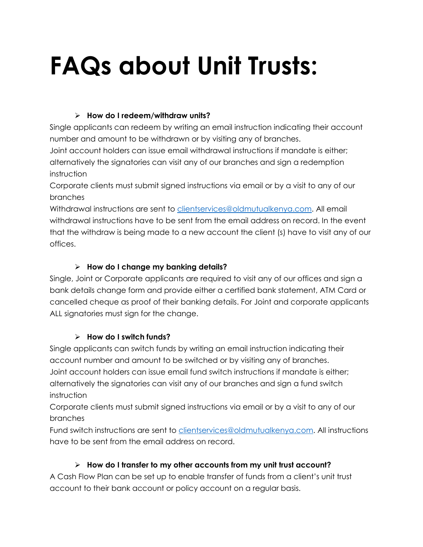# **FAQs about Unit Trusts:**

#### **How do I redeem/withdraw units?**

Single applicants can redeem by writing an email instruction indicating their account number and amount to be withdrawn or by visiting any of branches.

Joint account holders can issue email withdrawal instructions if mandate is either; alternatively the signatories can visit any of our branches and sign a redemption instruction

Corporate clients must submit signed instructions via email or by a visit to any of our branches

Withdrawal instructions are sent to [clientservices@oldmutualkenya.com.](mailto:clientservices@oldmutualkenya.com) All email withdrawal instructions have to be sent from the email address on record. In the event that the withdraw is being made to a new account the client (s) have to visit any of our offices.

## **How do I change my banking details?**

Single, Joint or Corporate applicants are required to visit any of our offices and sign a bank details change form and provide either a certified bank statement, ATM Card or cancelled cheque as proof of their banking details. For Joint and corporate applicants ALL signatories must sign for the change.

## **How do I switch funds?**

Single applicants can switch funds by writing an email instruction indicating their account number and amount to be switched or by visiting any of branches. Joint account holders can issue email fund switch instructions if mandate is either; alternatively the signatories can visit any of our branches and sign a fund switch instruction

Corporate clients must submit signed instructions via email or by a visit to any of our branches

Fund switch instructions are sent to [clientservices@oldmutualkenya.com.](mailto:clientservices@oldmutualkenya.com) All instructions have to be sent from the email address on record.

## **How do I transfer to my other accounts from my unit trust account?**

A Cash Flow Plan can be set up to enable transfer of funds from a client's unit trust account to their bank account or policy account on a regular basis.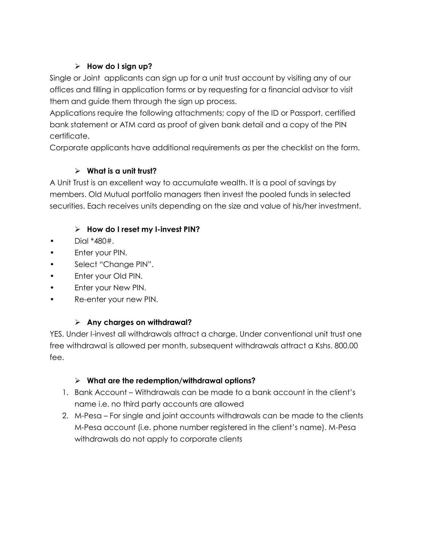## **How do I sign up?**

Single or Joint applicants can sign up for a unit trust account by visiting any of our offices and filling in application forms or by requesting for a financial advisor to visit them and guide them through the sign up process.

Applications require the following attachments; copy of the ID or Passport, certified bank statement or ATM card as proof of given bank detail and a copy of the PIN certificate.

Corporate applicants have additional requirements as per the checklist on the form.

# **What is a unit trust?**

A Unit Trust is an excellent way to accumulate wealth. It is a pool of savings by members. Old Mutual portfolio managers then invest the pooled funds in selected securities. Each receives units depending on the size and value of his/her investment.

## **How do I reset my I-invest PIN?**

- Dial \*480#.
- Enter your PIN.
- Select "Change PIN".
- Enter your Old PIN.
- Enter your New PIN.
- Re-enter your new PIN.

## **Any charges on withdrawal?**

YES. Under I-invest all withdrawals attract a charge. Under conventional unit trust one free withdrawal is allowed per month, subsequent withdrawals attract a Kshs. 800.00 fee.

## **What are the redemption/withdrawal options?**

- 1. Bank Account Withdrawals can be made to a bank account in the client's name i.e. no third party accounts are allowed
- 2. M-Pesa For single and joint accounts withdrawals can be made to the clients M-Pesa account (i.e. phone number registered in the client's name). M-Pesa withdrawals do not apply to corporate clients